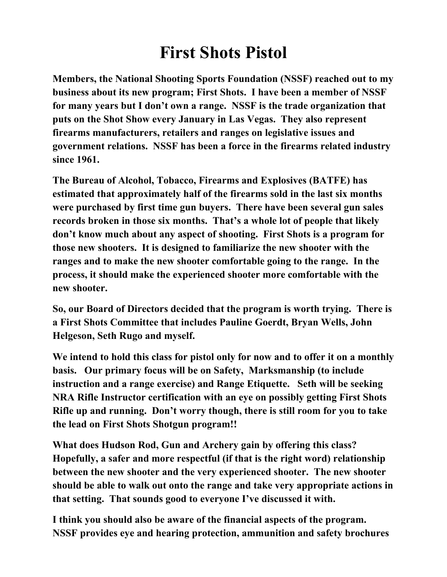## **First Shots Pistol**

**Members, the National Shooting Sports Foundation (NSSF) reached out to my business about its new program; First Shots. I have been a member of NSSF for many years but I don't own a range. NSSF is the trade organization that puts on the Shot Show every January in Las Vegas. They also represent firearms manufacturers, retailers and ranges on legislative issues and government relations. NSSF has been a force in the firearms related industry since 1961.** 

**The Bureau of Alcohol, Tobacco, Firearms and Explosives (BATFE) has estimated that approximately half of the firearms sold in the last six months were purchased by first time gun buyers. There have been several gun sales records broken in those six months. That's a whole lot of people that likely don't know much about any aspect of shooting. First Shots is a program for those new shooters. It is designed to familiarize the new shooter with the ranges and to make the new shooter comfortable going to the range. In the process, it should make the experienced shooter more comfortable with the new shooter.** 

**So, our Board of Directors decided that the program is worth trying. There is a First Shots Committee that includes Pauline Goerdt, Bryan Wells, John Helgeson, Seth Rugo and myself.** 

**We intend to hold this class for pistol only for now and to offer it on a monthly basis. Our primary focus will be on Safety, Marksmanship (to include instruction and a range exercise) and Range Etiquette. Seth will be seeking NRA Rifle Instructor certification with an eye on possibly getting First Shots Rifle up and running. Don't worry though, there is still room for you to take the lead on First Shots Shotgun program!!** 

**What does Hudson Rod, Gun and Archery gain by offering this class? Hopefully, a safer and more respectful (if that is the right word) relationship between the new shooter and the very experienced shooter. The new shooter should be able to walk out onto the range and take very appropriate actions in that setting. That sounds good to everyone I've discussed it with.** 

**I think you should also be aware of the financial aspects of the program. NSSF provides eye and hearing protection, ammunition and safety brochures**